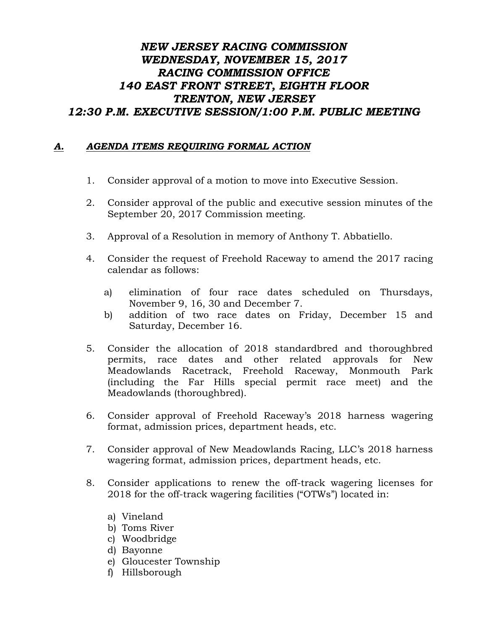## *NEW JERSEY RACING COMMISSION WEDNESDAY, NOVEMBER 15, 2017 RACING COMMISSION OFFICE 140 EAST FRONT STREET, EIGHTH FLOOR TRENTON, NEW JERSEY 12:30 P.M. EXECUTIVE SESSION/1:00 P.M. PUBLIC MEETING*

## *A. AGENDA ITEMS REQUIRING FORMAL ACTION*

- 1. Consider approval of a motion to move into Executive Session.
- 2. Consider approval of the public and executive session minutes of the September 20, 2017 Commission meeting.
- 3. Approval of a Resolution in memory of Anthony T. Abbatiello.
- 4. Consider the request of Freehold Raceway to amend the 2017 racing calendar as follows:
	- a) elimination of four race dates scheduled on Thursdays, November 9, 16, 30 and December 7.
	- b) addition of two race dates on Friday, December 15 and Saturday, December 16.
- 5. Consider the allocation of 2018 standardbred and thoroughbred permits, race dates and other related approvals for New Meadowlands Racetrack, Freehold Raceway, Monmouth Park (including the Far Hills special permit race meet) and the Meadowlands (thoroughbred).
- 6. Consider approval of Freehold Raceway's 2018 harness wagering format, admission prices, department heads, etc.
- 7. Consider approval of New Meadowlands Racing, LLC's 2018 harness wagering format, admission prices, department heads, etc.
- 8. Consider applications to renew the off-track wagering licenses for 2018 for the off-track wagering facilities ("OTWs") located in:
	- a) Vineland
	- b) Toms River
	- c) Woodbridge
	- d) Bayonne
	- e) Gloucester Township
	- f) Hillsborough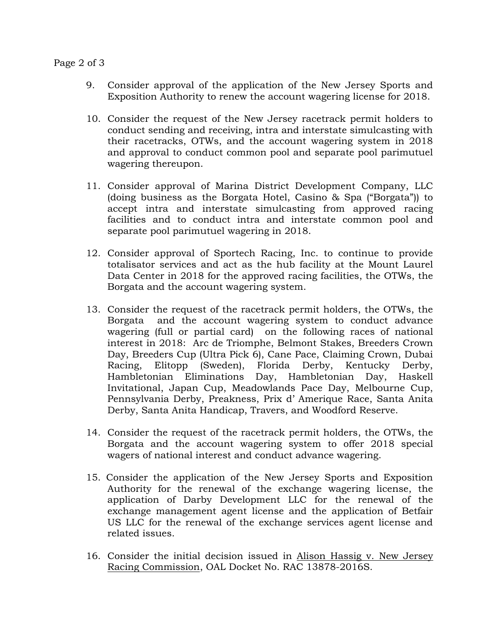## Page 2 of 3

- 9. Consider approval of the application of the New Jersey Sports and Exposition Authority to renew the account wagering license for 2018.
- 10. Consider the request of the New Jersey racetrack permit holders to conduct sending and receiving, intra and interstate simulcasting with their racetracks, OTWs, and the account wagering system in 2018 and approval to conduct common pool and separate pool parimutuel wagering thereupon.
- 11. Consider approval of Marina District Development Company, LLC (doing business as the Borgata Hotel, Casino & Spa ("Borgata")) to accept intra and interstate simulcasting from approved racing facilities and to conduct intra and interstate common pool and separate pool parimutuel wagering in 2018.
- 12. Consider approval of Sportech Racing, Inc. to continue to provide totalisator services and act as the hub facility at the Mount Laurel Data Center in 2018 for the approved racing facilities, the OTWs, the Borgata and the account wagering system.
- 13. Consider the request of the racetrack permit holders, the OTWs, the Borgata and the account wagering system to conduct advance wagering (full or partial card) on the following races of national interest in 2018: Arc de Triomphe, Belmont Stakes, Breeders Crown Day, Breeders Cup (Ultra Pick 6), Cane Pace, Claiming Crown, Dubai Racing, Elitopp (Sweden), Florida Derby, Kentucky Derby, Hambletonian Eliminations Day, Hambletonian Day, Haskell Invitational, Japan Cup, Meadowlands Pace Day, Melbourne Cup, Pennsylvania Derby, Preakness, Prix d' Amerique Race, Santa Anita Derby, Santa Anita Handicap, Travers, and Woodford Reserve.
- 14. Consider the request of the racetrack permit holders, the OTWs, the Borgata and the account wagering system to offer 2018 special wagers of national interest and conduct advance wagering.
- 15. Consider the application of the New Jersey Sports and Exposition Authority for the renewal of the exchange wagering license, the application of Darby Development LLC for the renewal of the exchange management agent license and the application of Betfair US LLC for the renewal of the exchange services agent license and related issues.
- 16. Consider the initial decision issued in Alison Hassig v. New Jersey Racing Commission, OAL Docket No. RAC 13878-2016S.